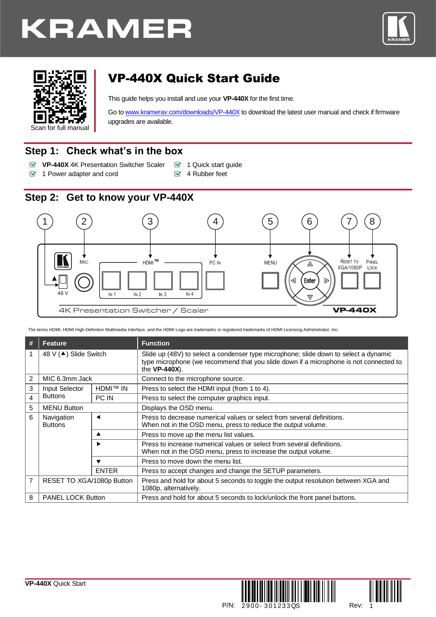





# VP-440X Quick Start Guide

This guide helps you install and use your **VP-440X** for the first time.

Go t[o www.kramerav.com/downloads/VP-440X](http://www.kramerav.com/downloads/VP-440X) to download the latest user manual and check if firmware upgrades are available.

## **Step 1: Check what's in the box**

- **VP-440X** 4K Presentation Switcher Scaler **1** Quick start guide
- $\blacksquare$  1 Power adapter and cord  $\blacksquare$  4 Rubber feet
- 

# **Step 2: Get to know your VP-440X**



The terms HDMI, HDMI High-Definition Multimedia Interface, and the HDMI Logo are trademarks or registered trademarks of HDMI Licensing Administrator, Inc.

| # | <b>Feature</b>               |                 | <b>Function</b>                                                                                                                                                                                |  |  |
|---|------------------------------|-----------------|------------------------------------------------------------------------------------------------------------------------------------------------------------------------------------------------|--|--|
|   | 48 V (▲) Slide Switch        |                 | Slide up (48V) to select a condenser type microphone; slide down to select a dynamic<br>type microphone (we recommend that you slide down if a microphone is not connected to<br>the VP-440X). |  |  |
| 2 | MIC 6.3mm Jack               |                 | Connect to the microphone source.                                                                                                                                                              |  |  |
| 3 | Input Selector               | <b>HDMI™ IN</b> | Press to select the HDMI input (from 1 to 4).                                                                                                                                                  |  |  |
| 4 | <b>Buttons</b><br>PC IN      |                 | Press to select the computer graphics input.                                                                                                                                                   |  |  |
| 5 | <b>MENU Button</b>           |                 | Displays the OSD menu.                                                                                                                                                                         |  |  |
| 6 | Navigation<br><b>Buttons</b> | ◀               | Press to decrease numerical values or select from several definitions.<br>When not in the OSD menu, press to reduce the output volume.                                                         |  |  |
|   |                              | ▲               | Press to move up the menu list values.                                                                                                                                                         |  |  |
|   |                              | ▶               | Press to increase numerical values or select from several definitions.<br>When not in the OSD menu, press to increase the output volume.                                                       |  |  |
|   |                              | ▼               | Press to move down the menu list.                                                                                                                                                              |  |  |
|   |                              | <b>ENTER</b>    | Press to accept changes and change the SETUP parameters.                                                                                                                                       |  |  |
| 7 | RESET TO XGA/1080p Button    |                 | Press and hold for about 5 seconds to toggle the output resolution between XGA and<br>1080p. alternatively.                                                                                    |  |  |
| 8 | <b>PANEL LOCK Button</b>     |                 | Press and hold for about 5 seconds to lock/unlock the front panel buttons.                                                                                                                     |  |  |



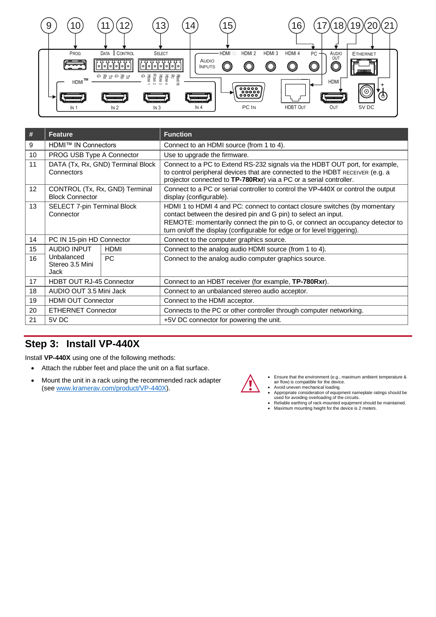

| #  | <b>Feature</b>                                           |                                   | <b>Function</b>                                                                                                                                                                                                                                                                                           |  |  |
|----|----------------------------------------------------------|-----------------------------------|-----------------------------------------------------------------------------------------------------------------------------------------------------------------------------------------------------------------------------------------------------------------------------------------------------------|--|--|
| 9  | HDMI™ IN Connectors                                      |                                   | Connect to an HDMI source (from 1 to 4).                                                                                                                                                                                                                                                                  |  |  |
| 10 | PROG USB Type A Connector                                |                                   | Use to upgrade the firmware.                                                                                                                                                                                                                                                                              |  |  |
| 11 | Connectors                                               | DATA (Tx, Rx, GND) Terminal Block | Connect to a PC to Extend RS-232 signals via the HDBT OUT port, for example,<br>to control peripheral devices that are connected to the HDBT RECEIVER (e.g. a<br>projector connected to TP-780Rxr) via a PC or a serial controller.                                                                       |  |  |
| 12 | CONTROL (Tx, Rx, GND) Terminal<br><b>Block Connector</b> |                                   | Connect to a PC or serial controller to control the VP-440X or control the output<br>display (configurable).                                                                                                                                                                                              |  |  |
| 13 | <b>SELECT 7-pin Terminal Block</b><br>Connector          |                                   | HDMI 1 to HDMI 4 and PC: connect to contact closure switches (by momentary<br>contact between the desired pin and G pin) to select an input.<br>REMOTE: momentarily connect the pin to G, or connect an occupancy detector to<br>turn on/off the display (configurable for edge or for level triggering). |  |  |
| 14 | PC IN 15-pin HD Connector                                |                                   | Connect to the computer graphics source.                                                                                                                                                                                                                                                                  |  |  |
| 15 | AUDIO INPUT                                              | <b>HDMI</b>                       | Connect to the analog audio HDMI source (from 1 to 4).                                                                                                                                                                                                                                                    |  |  |
| 16 | Unbalanced<br>Stereo 3.5 Mini<br>Jack                    | <b>PC</b>                         | Connect to the analog audio computer graphics source.                                                                                                                                                                                                                                                     |  |  |
| 17 | <b>HDBT OUT RJ-45 Connector</b>                          |                                   | Connect to an HDBT receiver (for example, TP-780Rxr).                                                                                                                                                                                                                                                     |  |  |
| 18 | AUDIO OUT 3.5 Mini Jack                                  |                                   | Connect to an unbalanced stereo audio acceptor.                                                                                                                                                                                                                                                           |  |  |
| 19 | <b>HDMI OUT Connector</b>                                |                                   | Connect to the HDMI acceptor.                                                                                                                                                                                                                                                                             |  |  |
| 20 | <b>ETHERNET Connector</b>                                |                                   | Connects to the PC or other controller through computer networking.                                                                                                                                                                                                                                       |  |  |
| 21 | 5V DC                                                    |                                   | +5V DC connector for powering the unit.                                                                                                                                                                                                                                                                   |  |  |

## **Step 3: Install VP-440X**

Install **VP-440X** using one of the following methods:

- Attach the rubber feet and place the unit on a flat surface.
- Mount the unit in a rack using the recommended rack adapter (se[e www.kramerav.com/product/VP-440X\)](http://www.kramerav.com/product/VP-440X).



- Ensure that the environment (e.g., maximum ambient temperature & air flow) is compatible for the device.
- Avoid uneven mechanical loading.
- Appropriate consideration of equipment nameplate ratings should be used for avoiding overloading of the circuits. • Reliable earthing of rack-mounted equipment should be maintained. • Maximum mounting height for the device is 2 meters.
-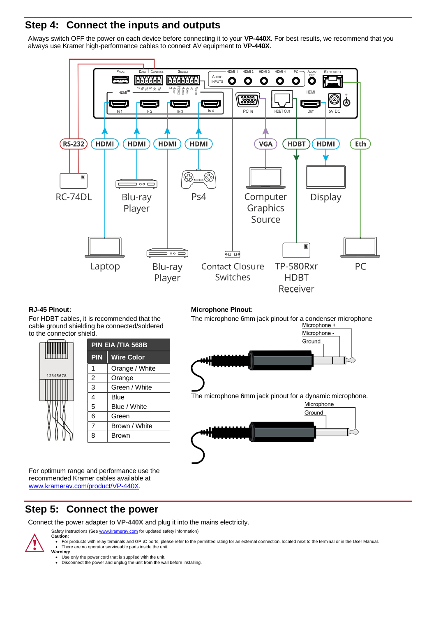## **Step 4: Connect the inputs and outputs**

Always switch OFF the power on each device before connecting it to your **VP-440X**. For best results, we recommend that you always use Kramer high-performance cables to connect AV equipment to **VP-440X**.



For HDBT cables, it is recommended that the cable ground shielding be connected/soldered to the connector shield.

|          | PIN EIA /TIA 568B |                   |  |
|----------|-------------------|-------------------|--|
|          | <b>PIN</b>        | <b>Wire Color</b> |  |
|          | 1                 | Orange / White    |  |
| 12345678 | $\overline{2}$    | Orange            |  |
|          | 3                 | Green / White     |  |
|          | 4                 | Blue              |  |
|          | 5                 | Blue / White      |  |
|          | 6                 | Green             |  |
|          | 7                 | Brown / White     |  |
|          | 8                 | <b>Brown</b>      |  |

For optimum range and performance use the recommended Kramer cables available at [www.kramerav.com/product/VP-440X.](http://www.kramerav.com/product/VP-440X)

#### **RJ-45 Pinout: Microphone Pinout:**

The microphone 6mm jack pinout for a condenser microphone<br>Microphone +



## **Step 5: Connect the power**

Connect the power adapter to **VP-440X** and plug it into the mains electricity.

Safety Instructions (Se[e www.kramerav.com](http://www.kramerav.com/) for updated safety information) **Caution:**



- For products with relay terminals and GPI\O ports, please refer to the permitted rating for an external connection, located next to the terminal or in the User Manual.<br>• There are no operator serviceable parts inside th
- **Warning:** • Use only the power cord that is supplied with the unit.
- Disconnect the power and unplug the unit from the wall before installing.